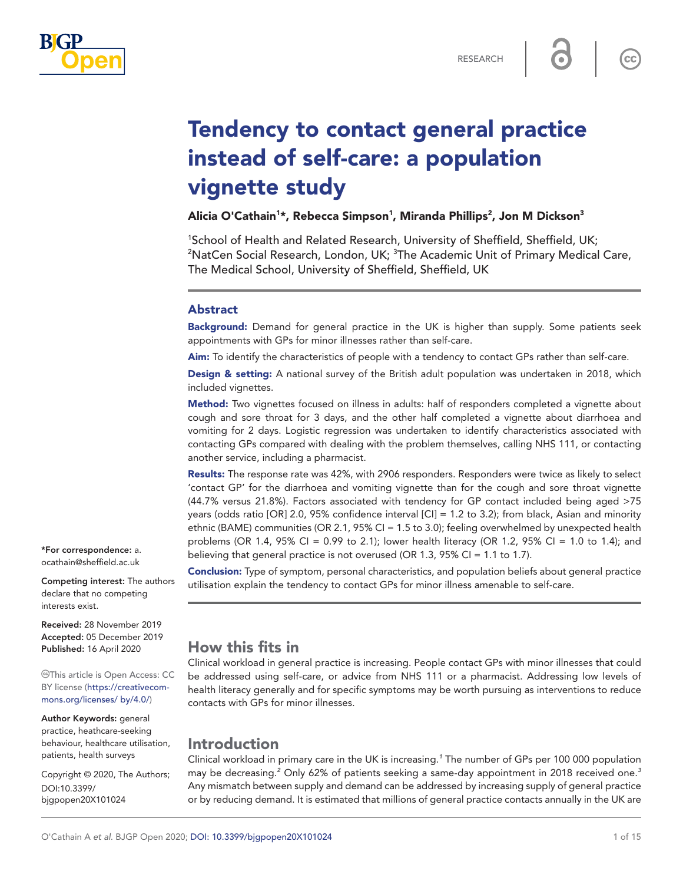

 $cc$ 

# Tendency to contact general practice instead of self-care: a population vignette study

Alicia O'Cathain<sup>1</sup>\*, Rebecca Simpson<sup>1</sup>, Miranda Phillips<sup>2</sup>, Jon M Dickson<sup>3</sup>

<sup>1</sup>School of Health and Related Research, University of Sheffield, Sheffield, UK;<br><sup>2</sup>NatCen Social Research, London, UK: <sup>3</sup>The Academic Unit of Primary Medical NatCen Social Research, London, UK; <sup>3</sup>The Academic Unit of Primary Medical Care, The Medical School, University of Sheffield, Sheffield, UK

### Abstract

Background: Demand for general practice in the UK is higher than supply. Some patients seek appointments with GPs for minor illnesses rather than self-care.

Aim: To identify the characteristics of people with a tendency to contact GPs rather than self-care.

Design & setting: A national survey of the British adult population was undertaken in 2018, which included vignettes.

Method: Two vignettes focused on illness in adults: half of responders completed a vignette about cough and sore throat for 3 days, and the other half completed a vignette about diarrhoea and vomiting for 2 days. Logistic regression was undertaken to identify characteristics associated with contacting GPs compared with dealing with the problem themselves, calling NHS 111, or contacting another service, including a pharmacist.

Results: The response rate was 42%, with 2906 responders. Responders were twice as likely to select 'contact GP' for the diarrhoea and vomiting vignette than for the cough and sore throat vignette (44.7% versus 21.8%). Factors associated with tendency for GP contact included being aged >75 years (odds ratio [OR] 2.0, 95% confidence interval [CI] = 1.2 to 3.2); from black, Asian and minority ethnic (BAME) communities (OR 2.1, 95% CI = 1.5 to 3.0); feeling overwhelmed by unexpected health problems (OR 1.4, 95% CI = 0.99 to 2.1); lower health literacy (OR 1.2, 95% CI = 1.0 to 1.4); and believing that general practice is not overused (OR 1.3, 95% CI = 1.1 to 1.7).

Conclusion: Type of symptom, personal characteristics, and population beliefs about general practice utilisation explain the tendency to contact GPs for minor illness amenable to self-care.

\*For correspondence: [a.](mailto:a.ocathain@sheffield.ac.uk) [ocathain@sheffield.ac.uk](mailto:a.ocathain@sheffield.ac.uk)

Competing interest: The authors declare that no competing interests exist.

Received: 28 November 2019 Accepted: 05 December 2019 Published: 16 April 2020

This article is Open Access: CC BY license [\(https://creativecom](https://creativecommons.org/licenses/%20by/4.0/)[mons.org/licenses/ by/4.0/](https://creativecommons.org/licenses/%20by/4.0/))

Author Keywords: general practice, heathcare-seeking behaviour, healthcare utilisation, patients, health surveys

Copyright © 2020, The Authors; DOI:10.3399/ bjgpopen20X101024

# How this fits in

Clinical workload in general practice is increasing. People contact GPs with minor illnesses that could be addressed using self-care, or advice from NHS 111 or a pharmacist. Addressing low levels of health literacy generally and for specific symptoms may be worth pursuing as interventions to reduce contacts with GPs for minor illnesses.

# Introduction

Clinical workload in primary care in the UK is increasing.*[1](#page-13-0)* The number of GPs per 100 000 population may be decreasing.*[2](#page-13-1)* Only 62% of patients seeking a same-day appointment in 2018 received one.*[3](#page-13-2)* Any mismatch between supply and demand can be addressed by increasing supply of general practice or by reducing demand. It is estimated that millions of general practice contacts annually in the UK are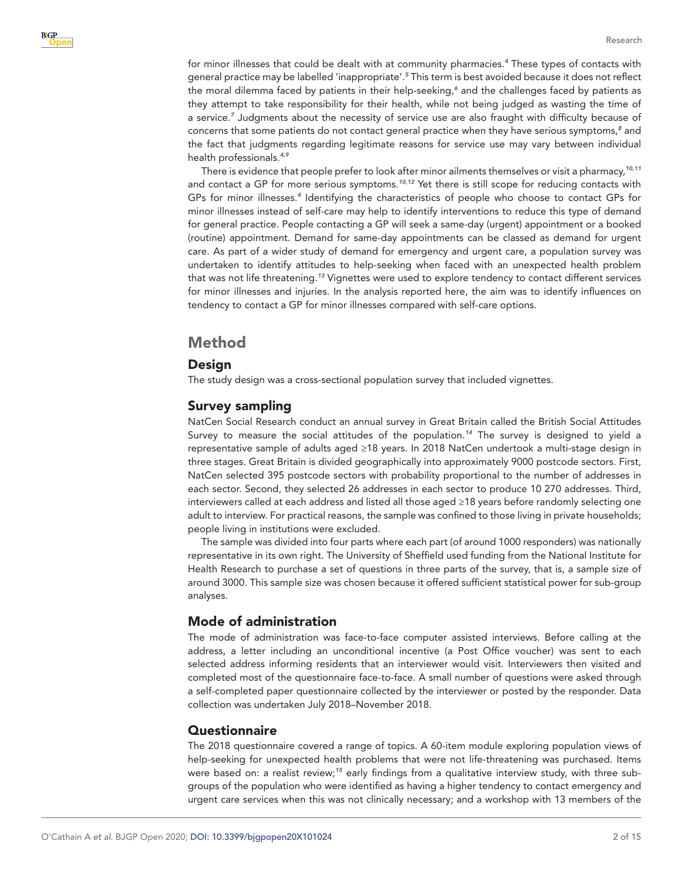for minor illnesses that could be dealt with at community pharmacies.*[4](#page-13-3)* These types of contacts with general practice may be labelled 'inappropriate'.*[5](#page-13-4)* This term is best avoided because it does not reflect the moral dilemma faced by patients in their help-seeking,<sup>[6](#page-13-5)</sup> and the challenges faced by patients as they attempt to take responsibility for their health, while not being judged as wasting the time of a service.*[7](#page-13-6)* Judgments about the necessity of service use are also fraught with difficulty because of concerns that some patients do not contact general practice when they have serious symptoms,*[8](#page-13-7)* and the fact that judgments regarding legitimate reasons for service use may vary between individual health professionals.*[4,9](#page-13-3)*

There is evidence that people prefer to look after minor ailments themselves or visit a pharmacy,*[10,11](#page-13-8)* and contact a GP for more serious symptoms.*[10,12](#page-13-8)* Yet there is still scope for reducing contacts with GPs for minor illnesses.*[4](#page-13-3)* Identifying the characteristics of people who choose to contact GPs for minor illnesses instead of self-care may help to identify interventions to reduce this type of demand for general practice. People contacting a GP will seek a same-day (urgent) appointment or a booked (routine) appointment. Demand for same-day appointments can be classed as demand for urgent care. As part of a wider study of demand for emergency and urgent care, a population survey was undertaken to identify attitudes to help-seeking when faced with an unexpected health problem that was not life threatening.*[13](#page-13-9)* Vignettes were used to explore tendency to contact different services for minor illnesses and injuries. In the analysis reported here, the aim was to identify influences on tendency to contact a GP for minor illnesses compared with self-care options.

# Method

# **Design**

The study design was a cross-sectional population survey that included vignettes.

# Survey sampling

NatCen Social Research conduct an annual survey in Great Britain called the British Social Attitudes Survey to measure the social attitudes of the population.*[14](#page-13-10)* The survey is designed to yield a representative sample of adults aged ≥18 years. In 2018 NatCen undertook a multi-stage design in three stages. Great Britain is divided geographically into approximately 9000 postcode sectors. First, NatCen selected 395 postcode sectors with probability proportional to the number of addresses in each sector. Second, they selected 26 addresses in each sector to produce 10 270 addresses. Third, interviewers called at each address and listed all those aged ≥18 years before randomly selecting one adult to interview. For practical reasons, the sample was confined to those living in private households; people living in institutions were excluded.

The sample was divided into four parts where each part (of around 1000 responders) was nationally representative in its own right. The University of Sheffield used funding from the National Institute for Health Research to purchase a set of questions in three parts of the survey, that is, a sample size of around 3000. This sample size was chosen because it offered sufficient statistical power for sub-group analyses.

# Mode of administration

The mode of administration was face-to-face computer assisted interviews. Before calling at the address, a letter including an unconditional incentive (a Post Office voucher) was sent to each selected address informing residents that an interviewer would visit. Interviewers then visited and completed most of the questionnaire face-to-face. A small number of questions were asked through a self-completed paper questionnaire collected by the interviewer or posted by the responder. Data collection was undertaken July 2018–November 2018.

# **Questionnaire**

The 2018 questionnaire covered a range of topics. A 60-item module exploring population views of help-seeking for unexpected health problems that were not life-threatening was purchased. Items were based on: a realist review;*[15](#page-13-11)* early findings from a qualitative interview study, with three subgroups of the population who were identified as having a higher tendency to contact emergency and urgent care services when this was not clinically necessary; and a workshop with 13 members of the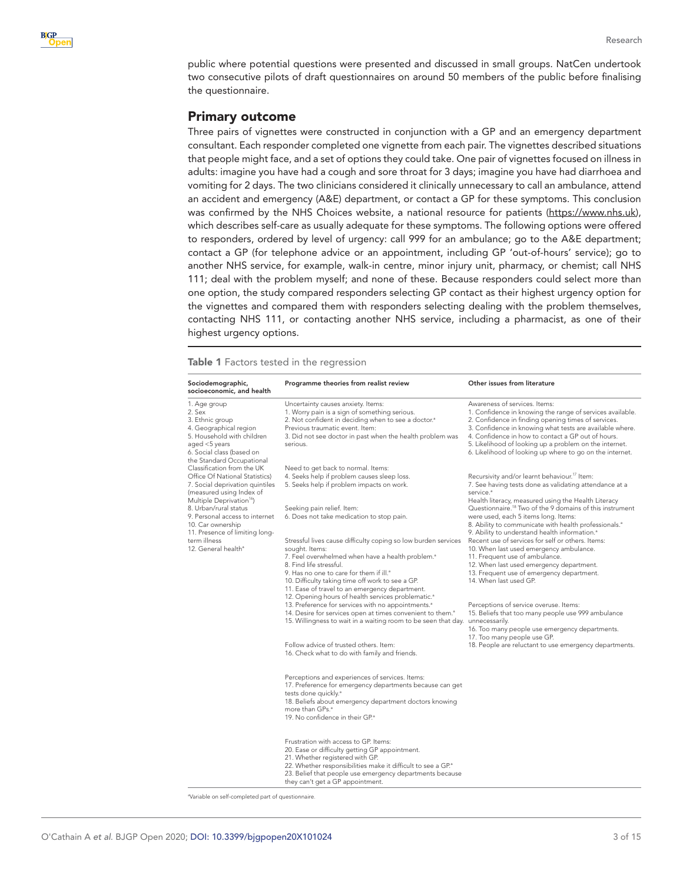

public where potential questions were presented and discussed in small groups. NatCen undertook two consecutive pilots of draft questionnaires on around 50 members of the public before finalising the questionnaire.

### Primary outcome

Three pairs of vignettes were constructed in conjunction with a GP and an emergency department consultant. Each responder completed one vignette from each pair. The vignettes described situations that people might face, and a set of options they could take. One pair of vignettes focused on illness in adults: imagine you have had a cough and sore throat for 3 days; imagine you have had diarrhoea and vomiting for 2 days. The two clinicians considered it clinically unnecessary to call an ambulance, attend an accident and emergency (A&E) department, or contact a GP for these symptoms. This conclusion was confirmed by the NHS Choices website, a national resource for patients [\(https://www.nhs.uk\)](https://www.nhs.uk/), which describes self-care as usually adequate for these symptoms. The following options were offered to responders, ordered by level of urgency: call 999 for an ambulance; go to the A&E department; contact a GP (for telephone advice or an appointment, including GP 'out-of-hours' service); go to another NHS service, for example, walk-in centre, minor injury unit, pharmacy, or chemist; call NHS 111; deal with the problem myself; and none of these. Because responders could select more than one option, the study compared responders selecting GP contact as their highest urgency option for the vignettes and compared them with responders selecting dealing with the problem themselves, contacting NHS 111, or contacting another NHS service, including a pharmacist, as one of their highest urgency options.

<span id="page-2-0"></span>Table 1 Factors tested in the regression

| Sociodemographic,<br>socioeconomic, and health                                                                                                                               | Programme theories from realist review                                                                                                                                                                                                                                                                                                   | Other issues from literature                                                                                                                                                                                                                                                                                                                                                              |
|------------------------------------------------------------------------------------------------------------------------------------------------------------------------------|------------------------------------------------------------------------------------------------------------------------------------------------------------------------------------------------------------------------------------------------------------------------------------------------------------------------------------------|-------------------------------------------------------------------------------------------------------------------------------------------------------------------------------------------------------------------------------------------------------------------------------------------------------------------------------------------------------------------------------------------|
| 1. Age group<br>2. Sex<br>3. Ethnic group<br>4. Geographical region<br>5. Household with children<br>aged <5 years<br>6. Social class (based on<br>the Standard Occupational | Uncertainty causes anxiety. Items:<br>1. Worry pain is a sign of something serious.<br>2. Not confident in deciding when to see a doctor. <sup>a</sup><br>Previous traumatic event. Item:<br>3. Did not see doctor in past when the health problem was<br>serious.                                                                       | Awareness of services, Items:<br>1. Confidence in knowing the range of services available.<br>2. Confidence in finding opening times of services.<br>3. Confidence in knowing what tests are available where.<br>4. Confidence in how to contact a GP out of hours.<br>5. Likelihood of looking up a problem on the internet.<br>6. Likelihood of looking up where to go on the internet. |
| Classification from the UK<br>Office Of National Statistics)<br>7. Social deprivation quintiles<br>(measured using Index of<br>Multiple Deprivation <sup>16</sup> )          | Need to get back to normal. Items:<br>4. Seeks help if problem causes sleep loss.<br>5. Seeks help if problem impacts on work.                                                                                                                                                                                                           | Recursivity and/or learnt behaviour. <sup>17</sup> Item:<br>7. See having tests done as validating attendance at a<br>service. <sup>a</sup><br>Health literacy, measured using the Health Literacy                                                                                                                                                                                        |
| 8. Urban/rural status<br>9. Personal access to internet<br>10. Car ownership<br>11. Presence of limiting long-                                                               | Seeking pain relief. Item:<br>6. Does not take medication to stop pain.                                                                                                                                                                                                                                                                  | Questionnaire. <sup>18</sup> Two of the 9 domains of this instrument<br>were used, each 5 items long. Items:<br>8. Ability to communicate with health professionals. <sup>a</sup><br>9. Ability to understand health information. <sup>a</sup>                                                                                                                                            |
| term illness<br>12. General health <sup>ª</sup>                                                                                                                              | Stressful lives cause difficulty coping so low burden services<br>sought. Items:<br>7. Feel overwhelmed when have a health problem. <sup>a</sup><br>8. Find life stressful.<br>9. Has no one to care for them if ill. <sup>a</sup><br>10. Difficulty taking time off work to see a GP.<br>11. Ease of travel to an emergency department. | Recent use of services for self or others. Items:<br>10. When last used emergency ambulance.<br>11. Frequent use of ambulance.<br>12. When last used emergency department.<br>13. Frequent use of emergency department.<br>14. When last used GP.                                                                                                                                         |
|                                                                                                                                                                              | 12. Opening hours of health services problematic. <sup>a</sup><br>13. Preference for services with no appointments. <sup>a</sup><br>14. Desire for services open at times convenient to them. <sup>a</sup><br>15. Willingness to wait in a waiting room to be seen that day.                                                             | Perceptions of service overuse. Items:<br>15. Beliefs that too many people use 999 ambulance<br>unnecessarily.<br>16. Too many people use emergency departments.<br>17. Too many people use GP.                                                                                                                                                                                           |
|                                                                                                                                                                              | Follow advice of trusted others, Item:<br>16. Check what to do with family and friends.                                                                                                                                                                                                                                                  | 18. People are reluctant to use emergency departments.                                                                                                                                                                                                                                                                                                                                    |
|                                                                                                                                                                              | Perceptions and experiences of services. Items:<br>17. Preference for emergency departments because can get<br>tests done quickly. <sup>a</sup><br>18. Beliefs about emergency department doctors knowing<br>more than GPs. <sup>a</sup><br>19. No confidence in their GP <sup>®</sup>                                                   |                                                                                                                                                                                                                                                                                                                                                                                           |
|                                                                                                                                                                              | Frustration with access to GP. Items:<br>20. Ease or difficulty getting GP appointment.<br>21. Whether registered with GP.<br>22. Whether responsibilities make it difficult to see a GP. <sup>a</sup><br>23. Belief that people use emergency departments because<br>they can't get a GP appointment.                                   |                                                                                                                                                                                                                                                                                                                                                                                           |

a Variable on self-completed part of questionnaire.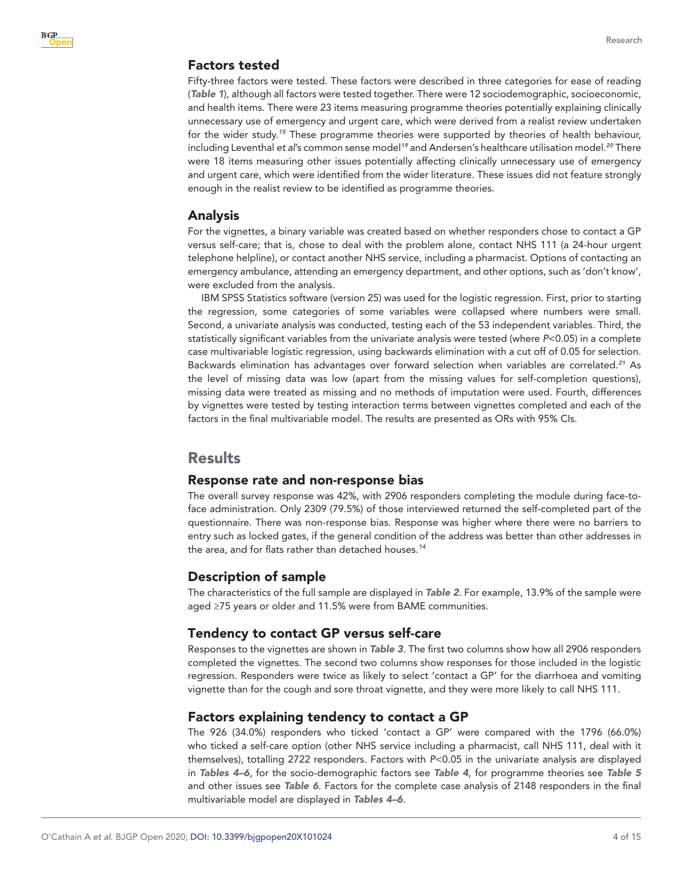# Factors tested

Fifty-three factors were tested. These factors were described in three categories for ease of reading (*[Table 1](#page-2-0)*), although all factors were tested together. There were 12 sociodemographic, socioeconomic, and health items. There were 23 items measuring programme theories potentially explaining clinically unnecessary use of emergency and urgent care, which were derived from a realist review undertaken for the wider study.*[15](#page-13-11)* These programme theories were supported by theories of health behaviour, including Leventhal *et al*'s common sense model*[19](#page-14-1)* and Andersen's healthcare utilisation model.*[20](#page-14-2)* There were 18 items measuring other issues potentially affecting clinically unnecessary use of emergency and urgent care, which were identified from the wider literature. These issues did not feature strongly enough in the realist review to be identified as programme theories.

# Analysis

For the vignettes, a binary variable was created based on whether responders chose to contact a GP versus self-care; that is, chose to deal with the problem alone, contact NHS 111 (a 24-hour urgent telephone helpline), or contact another NHS service, including a pharmacist. Options of contacting an emergency ambulance, attending an emergency department, and other options, such as 'don't know', were excluded from the analysis.

IBM SPSS Statistics software (version 25) was used for the logistic regression. First, prior to starting the regression, some categories of some variables were collapsed where numbers were small. Second, a univariate analysis was conducted, testing each of the 53 independent variables. Third, the statistically significant variables from the univariate analysis were tested (where *P*<0.05) in a complete case multivariable logistic regression, using backwards elimination with a cut off of 0.05 for selection. Backwards elimination has advantages over forward selection when variables are correlated.*[21](#page-14-3)* As the level of missing data was low (apart from the missing values for self-completion questions), missing data were treated as missing and no methods of imputation were used. Fourth, differences by vignettes were tested by testing interaction terms between vignettes completed and each of the factors in the final multivariable model. The results are presented as ORs with 95% CIs.

# Results

#### Response rate and non-response bias

The overall survey response was 42%, with 2906 responders completing the module during face-toface administration. Only 2309 (79.5%) of those interviewed returned the self-completed part of the questionnaire. There was non-response bias. Response was higher where there were no barriers to entry such as locked gates, if the general condition of the address was better than other addresses in the area, and for flats rather than detached houses.*[14](#page-13-10)*

# Description of sample

The characteristics of the full sample are displayed in *[Table 2](#page-4-0)*. For example, 13.9% of the sample were aged ≥75 years or older and 11.5% were from BAME communities.

# Tendency to contact GP versus self-care

Responses to the vignettes are shown in *[Table 3](#page-5-0)*. The first two columns show how all 2906 responders completed the vignettes. The second two columns show responses for those included in the logistic regression. Responders were twice as likely to select 'contact a GP' for the diarrhoea and vomiting vignette than for the cough and sore throat vignette, and they were more likely to call NHS 111.

# Factors explaining tendency to contact a GP

The 926 (34.0%) responders who ticked 'contact a GP' were compared with the 1796 (66.0%) who ticked a self-care option (other NHS service including a pharmacist, call NHS 111, deal with it themselves), totalling 2722 responders. Factors with *P*<0.05 in the univariate analysis are displayed in *[Tables 4–6](#page-6-0)*, for the socio-demographic factors see *[Table 4](#page-6-0)*, for programme theories see *[Table 5](#page-8-0)* and other issues see *[Table 6](#page-10-0)*. Factors for the complete case analysis of 2148 responders in the final multivariable model are displayed in *[Tables 4–6](#page-6-0)*.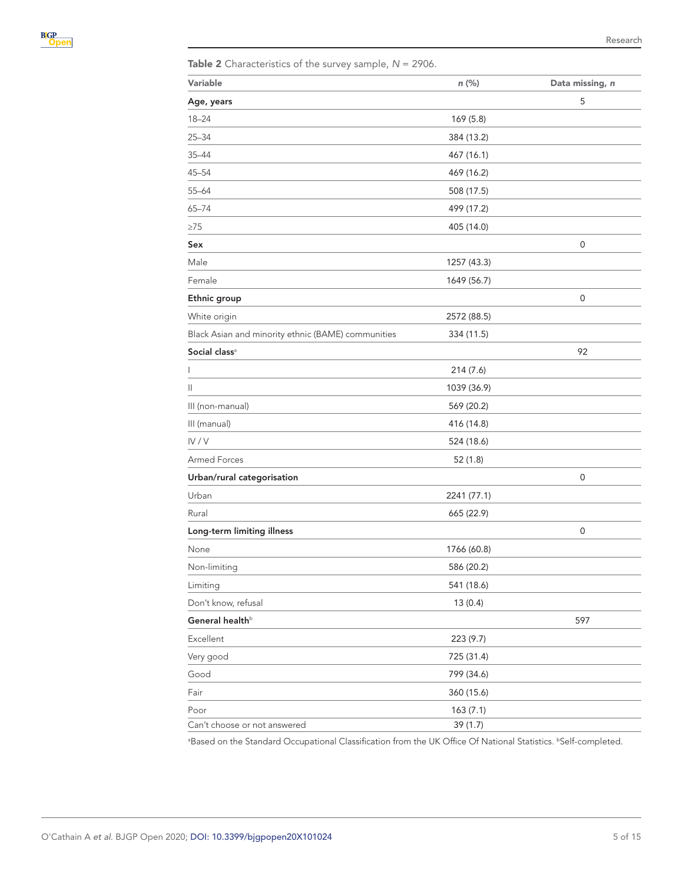<span id="page-4-0"></span>

|  | Table 2 Characteristics of the survey sample, $N = 2906$ . |  |  |  |  |  |
|--|------------------------------------------------------------|--|--|--|--|--|
|--|------------------------------------------------------------|--|--|--|--|--|

| Variable                                           | $n$ (%)     | Data missing, n  |
|----------------------------------------------------|-------------|------------------|
| Age, years                                         |             | 5                |
| $18 - 24$                                          | 169 (5.8)   |                  |
| $25 - 34$                                          | 384 (13.2)  |                  |
| $35 - 44$                                          | 467 (16.1)  |                  |
| $45 - 54$                                          | 469 (16.2)  |                  |
| $55 - 64$                                          | 508 (17.5)  |                  |
| $65 - 74$                                          | 499 (17.2)  |                  |
| ≥75                                                | 405 (14.0)  |                  |
| Sex                                                |             | 0                |
| Male                                               | 1257 (43.3) |                  |
| Female                                             | 1649 (56.7) |                  |
| Ethnic group                                       |             | 0                |
| White origin                                       | 2572 (88.5) |                  |
| Black Asian and minority ethnic (BAME) communities | 334 (11.5)  |                  |
| Social class <sup>a</sup>                          |             | 92               |
| I                                                  | 214 (7.6)   |                  |
| Ш                                                  | 1039 (36.9) |                  |
| III (non-manual)                                   | 569 (20.2)  |                  |
| III (manual)                                       | 416 (14.8)  |                  |
| IV/V                                               | 524 (18.6)  |                  |
| <b>Armed Forces</b>                                | 52 (1.8)    |                  |
| Urban/rural categorisation                         |             | $\mathbf 0$      |
| Urban                                              | 2241 (77.1) |                  |
| Rural                                              | 665 (22.9)  |                  |
| Long-term limiting illness                         |             | $\boldsymbol{0}$ |
| None                                               | 1766 (60.8) |                  |
| Non-limiting                                       | 586 (20.2)  |                  |
| Limiting                                           | 541 (18.6)  |                  |
| Don't know, refusal                                | 13(0.4)     |                  |
| General health <sup>b</sup>                        |             | 597              |
| Excellent                                          | 223 (9.7)   |                  |
| Very good                                          | 725 (31.4)  |                  |
| Good                                               | 799 (34.6)  |                  |
| Fair                                               | 360 (15.6)  |                  |
| Poor                                               | 163(7.1)    |                  |
| Can't choose or not answered                       | 39 (1.7)    |                  |

<sup>a</sup>Based on the Standard Occupational Classification from the UK Office Of National Statistics. **bSelf-completed**.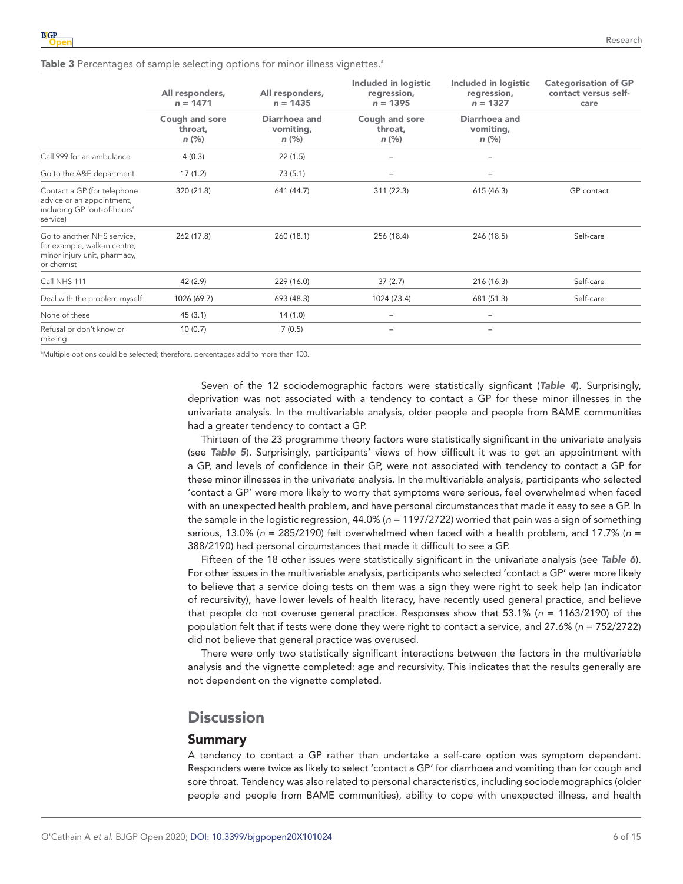<span id="page-5-0"></span>

| Table 3 Percentages of sample selecting options for minor illness vignettes. <sup>a</sup> |  |  |  |  |
|-------------------------------------------------------------------------------------------|--|--|--|--|
|                                                                                           |  |  |  |  |

|                                                                                                          | All responders,<br>$n = 1471$        | All responders,<br>$n = 1435$       | Included in logistic<br>regression,<br>$n = 1395$ | Included in logistic<br>regression,<br>$n = 1327$ | <b>Categorisation of GP</b><br>contact versus self-<br>care |
|----------------------------------------------------------------------------------------------------------|--------------------------------------|-------------------------------------|---------------------------------------------------|---------------------------------------------------|-------------------------------------------------------------|
|                                                                                                          | Cough and sore<br>throat,<br>$n$ (%) | Diarrhoea and<br>vomiting,<br>n (%) |                                                   | Diarrhoea and<br>vomiting,<br>$n$ (%)             |                                                             |
| Call 999 for an ambulance                                                                                | 4(0.3)                               | 22(1.5)                             |                                                   | -                                                 |                                                             |
| Go to the A&E department                                                                                 | 17(1.2)                              | 73(5.1)                             | -                                                 | -                                                 |                                                             |
| Contact a GP (for telephone<br>advice or an appointment,<br>including GP 'out-of-hours'<br>service)      | 320 (21.8)                           | 641 (44.7)                          | 311 (22.3)                                        | 615(46.3)                                         | GP contact                                                  |
| Go to another NHS service.<br>for example, walk-in centre,<br>minor injury unit, pharmacy,<br>or chemist | 262 (17.8)                           | 260 (18.1)                          | 256 (18.4)                                        | 246 (18.5)                                        | Self-care                                                   |
| Call NHS 111                                                                                             | 42 (2.9)                             | 229 (16.0)                          | 37(2.7)                                           | 216 (16.3)                                        | Self-care                                                   |
| Deal with the problem myself                                                                             | 1026 (69.7)                          | 693 (48.3)                          | 1024 (73.4)                                       | 681 (51.3)                                        | Self-care                                                   |
| None of these                                                                                            | 45(3.1)                              | 14(1.0)                             |                                                   |                                                   |                                                             |
| Refusal or don't know or<br>missing                                                                      | 10(0.7)                              | 7(0.5)                              |                                                   |                                                   |                                                             |

<sup>a</sup>Multiple options could be selected; therefore, percentages add to more than 100.

Seven of the 12 sociodemographic factors were statistically signficant (*[Table 4](#page-6-0)*). Surprisingly, deprivation was not associated with a tendency to contact a GP for these minor illnesses in the univariate analysis. In the multivariable analysis, older people and people from BAME communities had a greater tendency to contact a GP.

Thirteen of the 23 programme theory factors were statistically significant in the univariate analysis (see *[Table 5](#page-8-0)*). Surprisingly, participants' views of how difficult it was to get an appointment with a GP, and levels of confidence in their GP, were not associated with tendency to contact a GP for these minor illnesses in the univariate analysis. In the multivariable analysis, participants who selected 'contact a GP' were more likely to worry that symptoms were serious, feel overwhelmed when faced with an unexpected health problem, and have personal circumstances that made it easy to see a GP. In the sample in the logistic regression, 44.0% (*n* = 1197/2722) worried that pain was a sign of something serious, 13.0% (*n* = 285/2190) felt overwhelmed when faced with a health problem, and 17.7% (*n* = 388/2190) had personal circumstances that made it difficult to see a GP.

Fifteen of the 18 other issues were statistically significant in the univariate analysis (see *[Table 6](#page-10-0)*). For other issues in the multivariable analysis, participants who selected 'contact a GP' were more likely to believe that a service doing tests on them was a sign they were right to seek help (an indicator of recursivity), have lower levels of health literacy, have recently used general practice, and believe that people do not overuse general practice. Responses show that 53.1% (*n* = 1163/2190) of the population felt that if tests were done they were right to contact a service, and 27.6% (*n* = 752/2722) did not believe that general practice was overused.

There were only two statistically significant interactions between the factors in the multivariable analysis and the vignette completed: age and recursivity. This indicates that the results generally are not dependent on the vignette completed.

# **Discussion**

#### Summary

A tendency to contact a GP rather than undertake a self-care option was symptom dependent. Responders were twice as likely to select 'contact a GP' for diarrhoea and vomiting than for cough and sore throat. Tendency was also related to personal characteristics, including sociodemographics (older people and people from BAME communities), ability to cope with unexpected illness, and health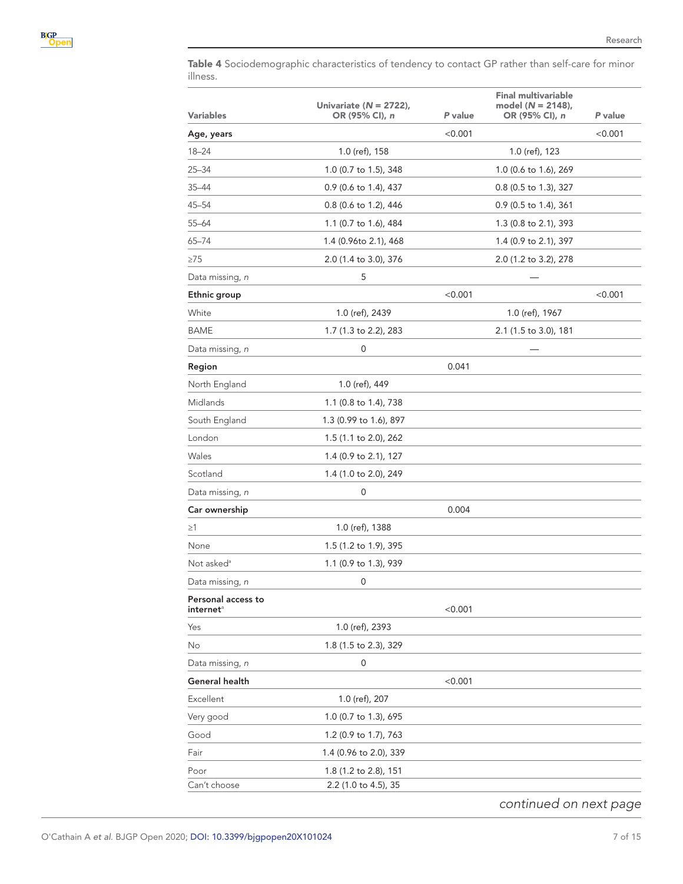

<span id="page-6-0"></span>Table 4 Sociodemographic characteristics of tendency to contact GP rather than self-care for minor illness.

| <b>Variables</b>                            | Univariate ( $N = 2722$ ),<br>OR (95% CI), n | P value | <b>Final multivariable</b><br>model (N = 2148),<br>OR (95% CI), n | P value |
|---------------------------------------------|----------------------------------------------|---------|-------------------------------------------------------------------|---------|
| Age, years                                  |                                              | < 0.001 |                                                                   | < 0.001 |
| $18 - 24$                                   | 1.0 (ref), 158                               |         | 1.0 (ref), 123                                                    |         |
| $25 - 34$                                   | 1.0 (0.7 to 1.5), 348                        |         | 1.0 (0.6 to 1.6), 269                                             |         |
| 35-44                                       | 0.9 (0.6 to 1.4), 437                        |         | 0.8 (0.5 to 1.3), 327                                             |         |
| $45 - 54$                                   | 0.8 (0.6 to 1.2), 446                        |         | 0.9 (0.5 to 1.4), 361                                             |         |
| 55-64                                       | 1.1 (0.7 to 1.6), 484                        |         | 1.3 (0.8 to 2.1), 393                                             |         |
| 65-74                                       | 1.4 (0.96to 2.1), 468                        |         | 1.4 (0.9 to 2.1), 397                                             |         |
| $\geq 75$                                   | 2.0 (1.4 to 3.0), 376                        |         | 2.0 (1.2 to 3.2), 278                                             |         |
| Data missing, n                             | 5                                            |         |                                                                   |         |
| Ethnic group                                |                                              | < 0.001 |                                                                   | < 0.001 |
| White                                       | 1.0 (ref), 2439                              |         | 1.0 (ref), 1967                                                   |         |
| BAME                                        | 1.7 (1.3 to 2.2), 283                        |         | 2.1 (1.5 to 3.0), 181                                             |         |
| Data missing, n                             | 0                                            |         |                                                                   |         |
| Region                                      |                                              | 0.041   |                                                                   |         |
| North England                               | 1.0 (ref), 449                               |         |                                                                   |         |
| Midlands                                    | 1.1 (0.8 to 1.4), 738                        |         |                                                                   |         |
| South England                               | 1.3 (0.99 to 1.6), 897                       |         |                                                                   |         |
| London                                      | 1.5 (1.1 to 2.0), 262                        |         |                                                                   |         |
| Wales                                       | 1.4 (0.9 to 2.1), 127                        |         |                                                                   |         |
| Scotland                                    | 1.4 (1.0 to 2.0), 249                        |         |                                                                   |         |
| Data missing, n                             | 0                                            |         |                                                                   |         |
| Car ownership                               |                                              | 0.004   |                                                                   |         |
| $\geq$ 1                                    | 1.0 (ref), 1388                              |         |                                                                   |         |
| None                                        | 1.5 (1.2 to 1.9), 395                        |         |                                                                   |         |
| Not asked <sup>a</sup>                      | 1.1 (0.9 to 1.3), 939                        |         |                                                                   |         |
| Data missing, n                             | 0                                            |         |                                                                   |         |
| Personal access to<br>internet <sup>a</sup> |                                              | < 0.001 |                                                                   |         |
| Yes                                         | 1.0 (ref), 2393                              |         |                                                                   |         |
| No                                          | 1.8 (1.5 to 2.3), 329                        |         |                                                                   |         |
| Data missing, n                             | 0                                            |         |                                                                   |         |
| General health                              |                                              | < 0.001 |                                                                   |         |
| Excellent                                   | 1.0 (ref), 207                               |         |                                                                   |         |
| Very good                                   | 1.0 (0.7 to 1.3), 695                        |         |                                                                   |         |
| Good                                        | 1.2 (0.9 to 1.7), 763                        |         |                                                                   |         |
| Fair                                        | 1.4 (0.96 to 2.0), 339                       |         |                                                                   |         |
| Poor                                        | 1.8 (1.2 to 2.8), 151                        |         |                                                                   |         |
| Can't choose                                | 2.2 (1.0 to 4.5), 35                         |         |                                                                   |         |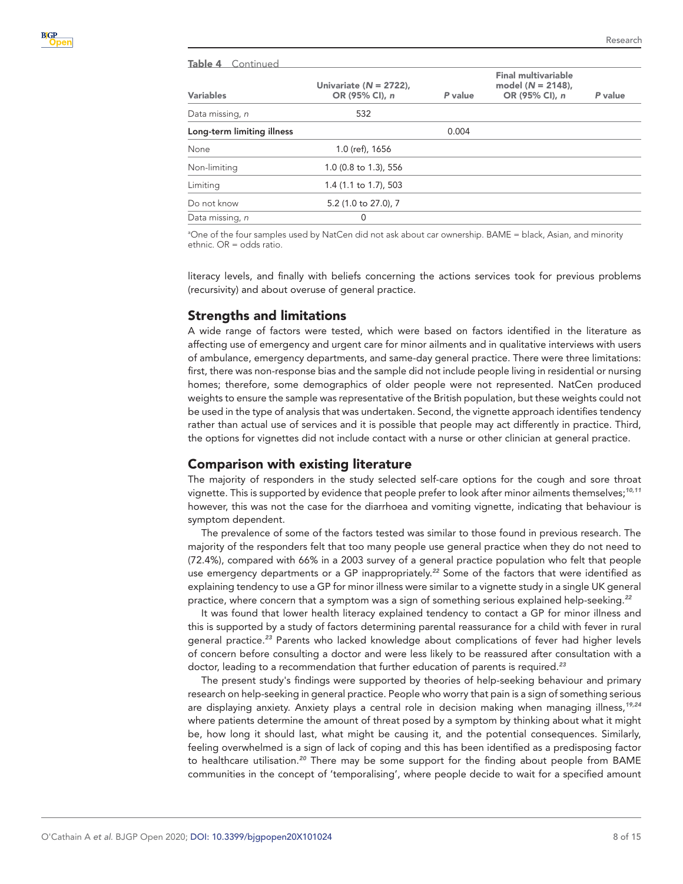| Table 4 Continued          |                                              |         |                                                                      |         |
|----------------------------|----------------------------------------------|---------|----------------------------------------------------------------------|---------|
| <b>Variables</b>           | Univariate ( $N = 2722$ ),<br>OR (95% CI), n | P value | <b>Final multivariable</b><br>model $(N = 2148)$ ,<br>OR (95% CI), n | P value |
| Data missing, n            | 532                                          |         |                                                                      |         |
| Long-term limiting illness |                                              | 0.004   |                                                                      |         |
| None                       | 1.0 (ref), 1656                              |         |                                                                      |         |
| Non-limiting               | 1.0 (0.8 to 1.3), 556                        |         |                                                                      |         |
| Limiting                   | 1.4 (1.1 to 1.7), 503                        |         |                                                                      |         |
| Do not know                | 5.2 (1.0 to 27.0), 7                         |         |                                                                      |         |
| Data missing, n            | $\Omega$                                     |         |                                                                      |         |

a One of the four samples used by NatCen did not ask about car ownership. BAME = black, Asian, and minority ethnic. OR = odds ratio.

literacy levels, and finally with beliefs concerning the actions services took for previous problems (recursivity) and about overuse of general practice.

# Strengths and limitations

A wide range of factors were tested, which were based on factors identified in the literature as affecting use of emergency and urgent care for minor ailments and in qualitative interviews with users of ambulance, emergency departments, and same-day general practice. There were three limitations: first, there was non-response bias and the sample did not include people living in residential or nursing homes; therefore, some demographics of older people were not represented. NatCen produced weights to ensure the sample was representative of the British population, but these weights could not be used in the type of analysis that was undertaken. Second, the vignette approach identifies tendency rather than actual use of services and it is possible that people may act differently in practice. Third, the options for vignettes did not include contact with a nurse or other clinician at general practice.

#### Comparison with existing literature

The majority of responders in the study selected self-care options for the cough and sore throat vignette. This is supported by evidence that people prefer to look after minor ailments themselves;*[10,11](#page-13-8)* however, this was not the case for the diarrhoea and vomiting vignette, indicating that behaviour is symptom dependent.

The prevalence of some of the factors tested was similar to those found in previous research. The majority of the responders felt that too many people use general practice when they do not need to (72.4%), compared with 66% in a 2003 survey of a general practice population who felt that people use emergency departments or a GP inappropriately.*[22](#page-14-4)* Some of the factors that were identified as explaining tendency to use a GP for minor illness were similar to a vignette study in a single UK general practice, where concern that a symptom was a sign of something serious explained help-seeking.*[22](#page-14-4)*

It was found that lower health literacy explained tendency to contact a GP for minor illness and this is supported by a study of factors determining parental reassurance for a child with fever in rural general practice.*[23](#page-14-5)* Parents who lacked knowledge about complications of fever had higher levels of concern before consulting a doctor and were less likely to be reassured after consultation with a doctor, leading to a recommendation that further education of parents is required.*[23](#page-14-5)*

The present study's findings were supported by theories of help-seeking behaviour and primary research on help-seeking in general practice. People who worry that pain is a sign of something serious are displaying anxiety. Anxiety plays a central role in decision making when managing illness,*[19,24](#page-14-1)* where patients determine the amount of threat posed by a symptom by thinking about what it might be, how long it should last, what might be causing it, and the potential consequences. Similarly, feeling overwhelmed is a sign of lack of coping and this has been identified as a predisposing factor to healthcare utilisation.*[20](#page-14-2)* There may be some support for the finding about people from BAME communities in the concept of 'temporalising', where people decide to wait for a specified amount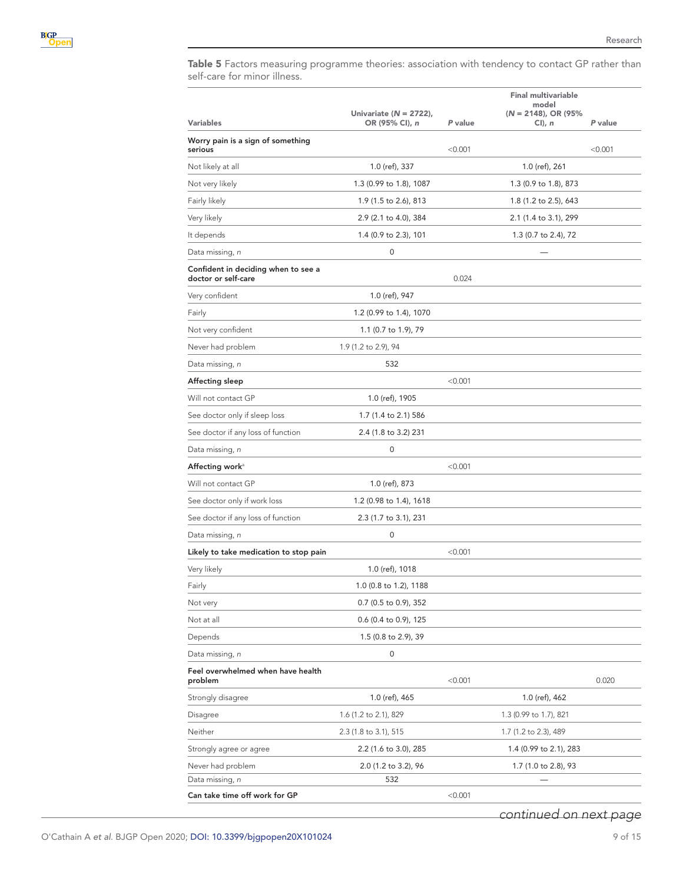<span id="page-8-0"></span>Table 5 Factors measuring programme theories: association with tendency to contact GP rather than self-care for minor illness.

|                                                            |                            |         | <b>Final multivariable</b>       |         |
|------------------------------------------------------------|----------------------------|---------|----------------------------------|---------|
|                                                            | Univariate ( $N = 2722$ ), |         | model<br>$(N = 2148)$ , OR (95%) |         |
| Variables                                                  | OR (95% CI), n             | P value | $Cl$ ), n                        | P value |
| Worry pain is a sign of something<br>serious               |                            | < 0.001 |                                  | < 0.001 |
| Not likely at all                                          | 1.0 (ref), 337             |         | 1.0 (ref), 261                   |         |
| Not very likely                                            | 1.3 (0.99 to 1.8), 1087    |         | 1.3 (0.9 to 1.8), 873            |         |
| Fairly likely                                              | 1.9 (1.5 to 2.6), 813      |         | 1.8 (1.2 to 2.5), 643            |         |
| Very likely                                                | 2.9 (2.1 to 4.0), 384      |         | 2.1 (1.4 to 3.1), 299            |         |
| It depends                                                 | 1.4 (0.9 to 2.3), 101      |         | 1.3 (0.7 to 2.4), 72             |         |
| Data missing, <i>n</i>                                     | 0                          |         |                                  |         |
| Confident in deciding when to see a<br>doctor or self-care |                            | 0.024   |                                  |         |
| Very confident                                             | 1.0 (ref), 947             |         |                                  |         |
| Fairly                                                     | 1.2 (0.99 to 1.4), 1070    |         |                                  |         |
| Not very confident                                         | 1.1 (0.7 to 1.9), 79       |         |                                  |         |
| Never had problem                                          | 1.9 (1.2 to 2.9), 94       |         |                                  |         |
| Data missing, <i>n</i>                                     | 532                        |         |                                  |         |
| Affecting sleep                                            |                            | < 0.001 |                                  |         |
| Will not contact GP                                        | 1.0 (ref), 1905            |         |                                  |         |
| See doctor only if sleep loss                              | 1.7 (1.4 to 2.1) 586       |         |                                  |         |
| See doctor if any loss of function                         | 2.4 (1.8 to 3.2) 231       |         |                                  |         |
| Data missing, <i>n</i>                                     | 0                          |         |                                  |         |
| Affecting workª                                            |                            | < 0.001 |                                  |         |
| Will not contact GP                                        | 1.0 (ref), 873             |         |                                  |         |
| See doctor only if work loss                               | 1.2 (0.98 to 1.4), 1618    |         |                                  |         |
| See doctor if any loss of function                         | 2.3 (1.7 to 3.1), 231      |         |                                  |         |
| Data missing, <i>n</i>                                     | 0                          |         |                                  |         |
| Likely to take medication to stop pain                     |                            | < 0.001 |                                  |         |
| Very likely                                                | 1.0 (ref), 1018            |         |                                  |         |
| Fairly                                                     | 1.0 (0.8 to 1.2), 1188     |         |                                  |         |
| Not very                                                   | 0.7 (0.5 to 0.9), 352      |         |                                  |         |
| Not at all                                                 | 0.6 (0.4 to 0.9), 125      |         |                                  |         |
| Depends                                                    | 1.5 (0.8 to 2.9), 39       |         |                                  |         |
| Data missing, <i>n</i>                                     | 0                          |         |                                  |         |
| Feel overwhelmed when have health<br>problem               |                            | < 0.001 |                                  | 0.020   |
| Strongly disagree                                          | 1.0 (ref), 465             |         | 1.0 (ref), 462                   |         |
| Disagree                                                   | 1.6 (1.2 to 2.1), 829      |         | 1.3 (0.99 to 1.7), 821           |         |
| Neither                                                    | 2.3 (1.8 to 3.1), 515      |         | 1.7 (1.2 to 2.3), 489            |         |
| Strongly agree or agree                                    | 2.2 (1.6 to 3.0), 285      |         | 1.4 (0.99 to 2.1), 283           |         |
| Never had problem                                          | 2.0 (1.2 to 3.2), 96       |         | 1.7 (1.0 to 2.8), 93             |         |
| Data missing, <i>n</i>                                     | 532                        |         |                                  |         |
| Can take time off work for GP                              |                            | < 0.001 |                                  |         |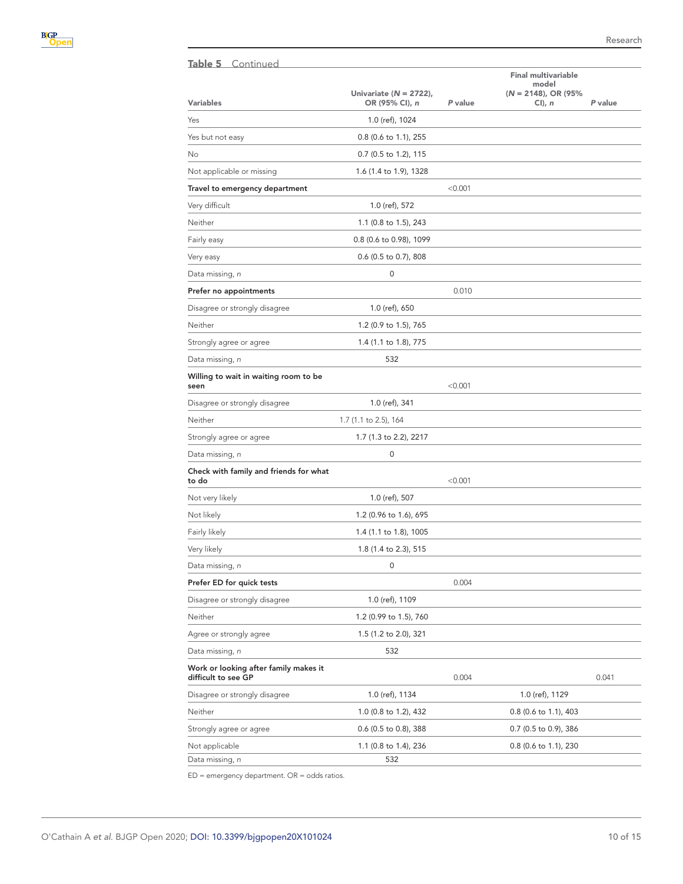| Table 5 Continued                                            |                                              |         |                                      |         |
|--------------------------------------------------------------|----------------------------------------------|---------|--------------------------------------|---------|
|                                                              |                                              |         | <b>Final multivariable</b><br>model  |         |
| <b>Variables</b>                                             | Univariate ( $N = 2722$ ),<br>OR (95% CI), n | P value | $(N = 2148)$ , OR (95%)<br>$Cl$ ), n | P value |
| Yes                                                          | 1.0 (ref), 1024                              |         |                                      |         |
| Yes but not easy                                             | 0.8 (0.6 to 1.1), 255                        |         |                                      |         |
| No                                                           | 0.7 (0.5 to 1.2), 115                        |         |                                      |         |
| Not applicable or missing                                    | 1.6 (1.4 to 1.9), 1328                       |         |                                      |         |
| Travel to emergency department                               |                                              | < 0.001 |                                      |         |
| Very difficult                                               | 1.0 (ref), 572                               |         |                                      |         |
| Neither                                                      | 1.1 (0.8 to 1.5), 243                        |         |                                      |         |
| Fairly easy                                                  | 0.8 (0.6 to 0.98), 1099                      |         |                                      |         |
| Very easy                                                    | 0.6 (0.5 to 0.7), 808                        |         |                                      |         |
| Data missing, n                                              | 0                                            |         |                                      |         |
| Prefer no appointments                                       |                                              | 0.010   |                                      |         |
| Disagree or strongly disagree                                | 1.0 (ref), 650                               |         |                                      |         |
| Neither                                                      | 1.2 (0.9 to 1.5), 765                        |         |                                      |         |
| Strongly agree or agree                                      | 1.4 (1.1 to 1.8), 775                        |         |                                      |         |
| Data missing, <i>n</i>                                       | 532                                          |         |                                      |         |
| Willing to wait in waiting room to be<br>seen                |                                              | < 0.001 |                                      |         |
| Disagree or strongly disagree                                | 1.0 (ref), 341                               |         |                                      |         |
| Neither                                                      | 1.7 (1.1 to 2.5), 164                        |         |                                      |         |
| Strongly agree or agree                                      | 1.7 (1.3 to 2.2), 2217                       |         |                                      |         |
| Data missing, <i>n</i>                                       | 0                                            |         |                                      |         |
| Check with family and friends for what<br>to do              |                                              | < 0.001 |                                      |         |
| Not very likely                                              | 1.0 (ref), 507                               |         |                                      |         |
| Not likely                                                   | 1.2 (0.96 to 1.6), 695                       |         |                                      |         |
| Fairly likely                                                | 1.4 (1.1 to 1.8), 1005                       |         |                                      |         |
| Very likely                                                  | 1.8 (1.4 to 2.3), 515                        |         |                                      |         |
| Data missing, <i>n</i>                                       | 0                                            |         |                                      |         |
| Prefer ED for quick tests                                    |                                              | 0.004   |                                      |         |
| Disagree or strongly disagree                                | 1.0 (ref), 1109                              |         |                                      |         |
| Neither                                                      | 1.2 (0.99 to 1.5), 760                       |         |                                      |         |
| Agree or strongly agree                                      | 1.5 (1.2 to 2.0), 321                        |         |                                      |         |
| Data missing, <i>n</i>                                       | 532                                          |         |                                      |         |
| Work or looking after family makes it<br>difficult to see GP |                                              | 0.004   |                                      | 0.041   |
| Disagree or strongly disagree                                | 1.0 (ref), 1134                              |         | 1.0 (ref), 1129                      |         |
| Neither                                                      | 1.0 (0.8 to 1.2), 432                        |         | 0.8 (0.6 to 1.1), 403                |         |
| Strongly agree or agree                                      | 0.6 (0.5 to 0.8), 388                        |         | 0.7 (0.5 to 0.9), 386                |         |
| Not applicable                                               | 1.1 (0.8 to 1.4), 236                        |         | 0.8 (0.6 to 1.1), 230                |         |
| Data missing, n                                              | 532                                          |         |                                      |         |

 $ED =$  emergency department.  $OR =$  odds ratios.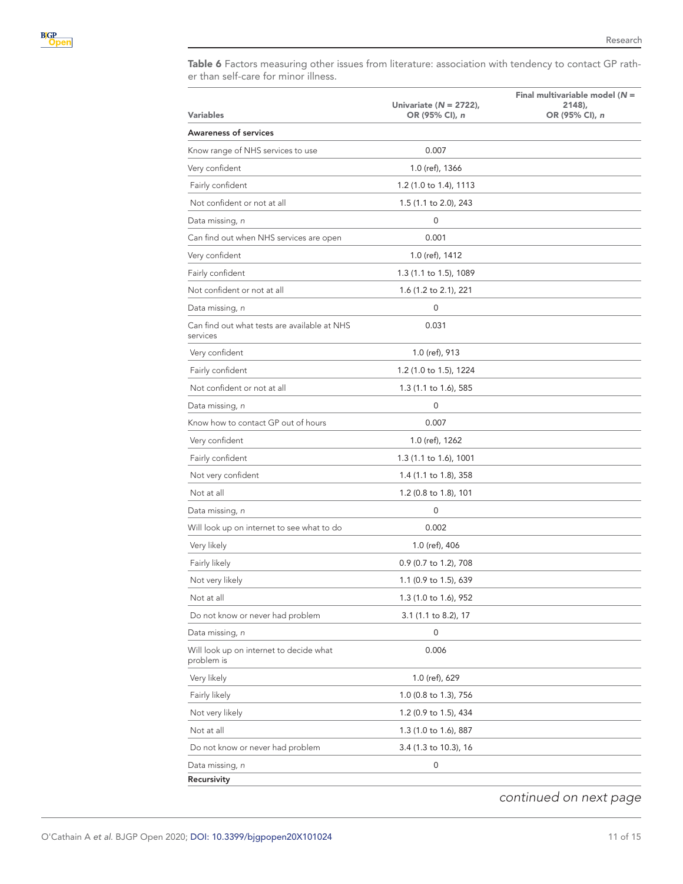<span id="page-10-0"></span>Table 6 Factors measuring other issues from literature: association with tendency to contact GP rather than self-care for minor illness.

| <b>Variables</b>                                         | Univariate ( $N = 2722$ ),<br>OR (95% CI), n | Final multivariable model $(N =$<br>2148),<br>OR (95% CI), n |
|----------------------------------------------------------|----------------------------------------------|--------------------------------------------------------------|
| <b>Awareness of services</b>                             |                                              |                                                              |
| Know range of NHS services to use                        | 0.007                                        |                                                              |
| Very confident                                           | 1.0 (ref), 1366                              |                                                              |
| Fairly confident                                         | 1.2 (1.0 to 1.4), 1113                       |                                                              |
| Not confident or not at all                              | 1.5 (1.1 to 2.0), 243                        |                                                              |
| Data missing, n                                          | 0                                            |                                                              |
| Can find out when NHS services are open                  | 0.001                                        |                                                              |
| Very confident                                           | 1.0 (ref), 1412                              |                                                              |
| Fairly confident                                         | 1.3 (1.1 to 1.5), 1089                       |                                                              |
| Not confident or not at all                              | 1.6 (1.2 to 2.1), 221                        |                                                              |
| Data missing, <i>n</i>                                   | 0                                            |                                                              |
| Can find out what tests are available at NHS<br>services | 0.031                                        |                                                              |
| Very confident                                           | 1.0 (ref), 913                               |                                                              |
| Fairly confident                                         | 1.2 (1.0 to 1.5), 1224                       |                                                              |
| Not confident or not at all                              | 1.3 (1.1 to 1.6), 585                        |                                                              |
| Data missing, <i>n</i>                                   | $\mathbf 0$                                  |                                                              |
| Know how to contact GP out of hours                      | 0.007                                        |                                                              |
| Very confident                                           | 1.0 (ref), 1262                              |                                                              |
| Fairly confident                                         | 1.3 (1.1 to 1.6), 1001                       |                                                              |
| Not very confident                                       | 1.4 (1.1 to 1.8), 358                        |                                                              |
| Not at all                                               | 1.2 (0.8 to 1.8), 101                        |                                                              |
| Data missing, <i>n</i>                                   | 0                                            |                                                              |
| Will look up on internet to see what to do               | 0.002                                        |                                                              |
| Very likely                                              | 1.0 (ref), 406                               |                                                              |
| Fairly likely                                            | 0.9 (0.7 to 1.2), 708                        |                                                              |
| Not very likely                                          | 1.1 (0.9 to 1.5), 639                        |                                                              |
| Not at all                                               | 1.3 (1.0 to 1.6), 952                        |                                                              |
| Do not know or never had problem                         | 3.1 (1.1 to 8.2), 17                         |                                                              |
| Data missing, n                                          | 0                                            |                                                              |
| Will look up on internet to decide what<br>problem is    | 0.006                                        |                                                              |
| Very likely                                              | 1.0 (ref), 629                               |                                                              |
| Fairly likely                                            | 1.0 (0.8 to 1.3), 756                        |                                                              |
| Not very likely                                          | 1.2 (0.9 to 1.5), 434                        |                                                              |
| Not at all                                               | 1.3 (1.0 to 1.6), 887                        |                                                              |
| Do not know or never had problem                         | 3.4 (1.3 to 10.3), 16                        |                                                              |
| Data missing, n                                          | 0                                            |                                                              |
| Recursivity                                              |                                              |                                                              |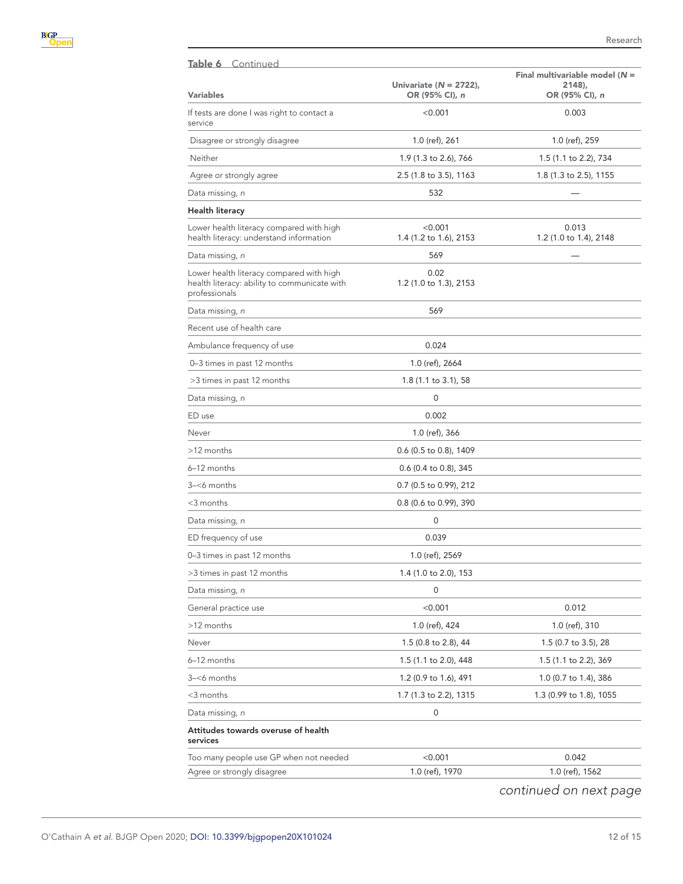| Table 6 Continued                                                                                         |                                              |                                                               |
|-----------------------------------------------------------------------------------------------------------|----------------------------------------------|---------------------------------------------------------------|
| <b>Variables</b>                                                                                          | Univariate ( $N = 2722$ ),<br>OR (95% CI), n | Final multivariable model ( $N =$<br>2148),<br>OR (95% CI), n |
| If tests are done I was right to contact a<br>service                                                     | < 0.001                                      | 0.003                                                         |
| Disagree or strongly disagree                                                                             | 1.0 (ref), 261                               | 1.0 (ref), 259                                                |
| Neither                                                                                                   | 1.9 (1.3 to 2.6), 766                        | 1.5 (1.1 to 2.2), 734                                         |
| Agree or strongly agree                                                                                   | 2.5 (1.8 to 3.5), 1163                       | 1.8 (1.3 to 2.5), 1155                                        |
| Data missing, n                                                                                           | 532                                          |                                                               |
| Health literacy                                                                                           |                                              |                                                               |
| Lower health literacy compared with high<br>health literacy: understand information                       | < 0.001<br>1.4 (1.2 to 1.6), 2153            | 0.013<br>1.2 (1.0 to 1.4), 2148                               |
| Data missing, n                                                                                           | 569                                          |                                                               |
| Lower health literacy compared with high<br>health literacy: ability to communicate with<br>professionals | 0.02<br>1.2 (1.0 to 1.3), 2153               |                                                               |
| Data missing, n                                                                                           | 569                                          |                                                               |
| Recent use of health care                                                                                 |                                              |                                                               |
| Ambulance frequency of use                                                                                | 0.024                                        |                                                               |
| 0-3 times in past 12 months                                                                               | 1.0 (ref), 2664                              |                                                               |
| >3 times in past 12 months                                                                                | 1.8 (1.1 to 3.1), 58                         |                                                               |
| Data missing, <i>n</i>                                                                                    | 0                                            |                                                               |
| ED use                                                                                                    | 0.002                                        |                                                               |
| Never                                                                                                     | 1.0 (ref), 366                               |                                                               |
| >12 months                                                                                                | 0.6 (0.5 to 0.8), 1409                       |                                                               |
| 6-12 months                                                                                               | 0.6 (0.4 to 0.8), 345                        |                                                               |
| 3-<6 months                                                                                               | 0.7 (0.5 to 0.99), 212                       |                                                               |
| <3 months                                                                                                 | 0.8 (0.6 to 0.99), 390                       |                                                               |
| Data missing, n                                                                                           | 0                                            |                                                               |
| ED frequency of use                                                                                       | 0.039                                        |                                                               |
| 0-3 times in past 12 months                                                                               | 1.0 (ref), 2569                              |                                                               |
| >3 times in past 12 months                                                                                | 1.4 (1.0 to 2.0), 153                        |                                                               |
| Data missing, n                                                                                           | 0                                            |                                                               |
| General practice use                                                                                      | < 0.001                                      | 0.012                                                         |
| >12 months                                                                                                | 1.0 (ref), 424                               | 1.0 (ref), 310                                                |
| Never                                                                                                     | 1.5 (0.8 to 2.8), 44                         | 1.5 (0.7 to 3.5), 28                                          |
| 6-12 months                                                                                               | 1.5 (1.1 to 2.0), 448                        | 1.5 (1.1 to 2.2), 369                                         |
| 3–<6 months                                                                                               | 1.2 (0.9 to 1.6), 491                        | 1.0 (0.7 to 1.4), 386                                         |
| <3 months                                                                                                 | 1.7 (1.3 to 2.2), 1315                       | 1.3 (0.99 to 1.8), 1055                                       |
| Data missing, n                                                                                           | 0                                            |                                                               |
| Attitudes towards overuse of health<br>services                                                           |                                              |                                                               |
| Too many people use GP when not needed                                                                    | < 0.001                                      | 0.042                                                         |
| Agree or strongly disagree                                                                                | 1.0 (ref), 1970                              | 1.0 (ref), 1562                                               |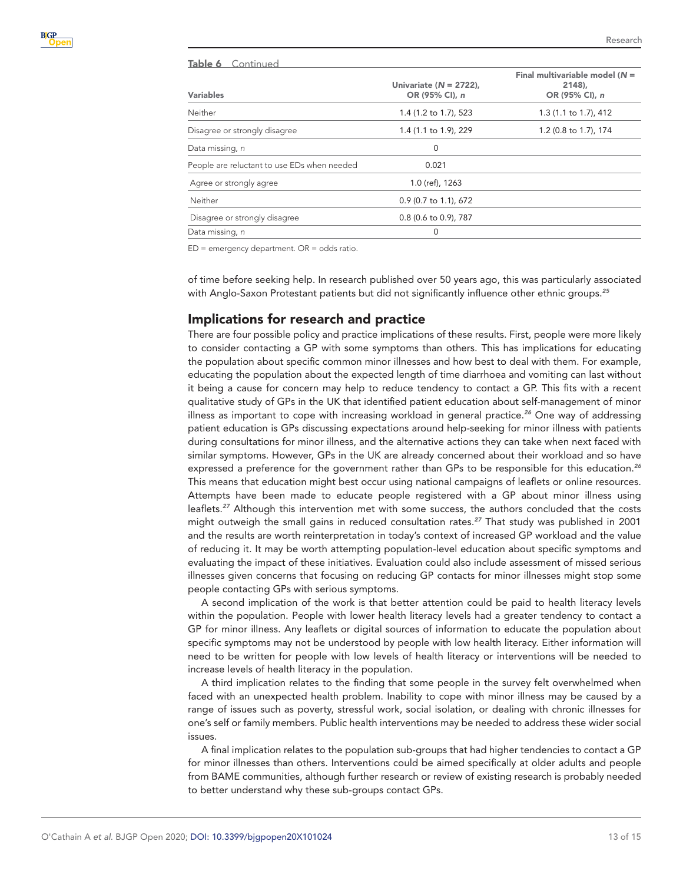| Table 6 Continued                           |                                              |                                                              |
|---------------------------------------------|----------------------------------------------|--------------------------------------------------------------|
| <b>Variables</b>                            | Univariate ( $N = 2722$ ),<br>OR (95% CI), n | Final multivariable model ( $N =$<br>2148.<br>OR (95% CI), n |
| Neither                                     | 1.4 (1.2 to 1.7), 523                        | 1.3 (1.1 to 1.7), 412                                        |
| Disagree or strongly disagree               | 1.4 (1.1 to 1.9), 229                        | 1.2 (0.8 to 1.7), 174                                        |
| Data missing, n                             | 0                                            |                                                              |
| People are reluctant to use EDs when needed | 0.021                                        |                                                              |
| Agree or strongly agree                     | 1.0 (ref), 1263                              |                                                              |
| Neither                                     | 0.9 (0.7 to 1.1), 672                        |                                                              |
| Disagree or strongly disagree               | 0.8 (0.6 to 0.9), 787                        |                                                              |
| Data missing, n                             | 0                                            |                                                              |

 $ED =$  emergency department.  $OR =$  odds ratio.

of time before seeking help. In research published over 50 years ago, this was particularly associated with Anglo-Saxon Protestant patients but did not significantly influence other ethnic groups.*[25](#page-14-6)*

# Implications for research and practice

There are four possible policy and practice implications of these results. First, people were more likely to consider contacting a GP with some symptoms than others. This has implications for educating the population about specific common minor illnesses and how best to deal with them. For example, educating the population about the expected length of time diarrhoea and vomiting can last without it being a cause for concern may help to reduce tendency to contact a GP. This fits with a recent qualitative study of GPs in the UK that identified patient education about self-management of minor illness as important to cope with increasing workload in general practice.*[26](#page-14-7)* One way of addressing patient education is GPs discussing expectations around help-seeking for minor illness with patients during consultations for minor illness, and the alternative actions they can take when next faced with similar symptoms. However, GPs in the UK are already concerned about their workload and so have expressed a preference for the government rather than GPs to be responsible for this education.*[26](#page-14-7)* This means that education might best occur using national campaigns of leaflets or online resources. Attempts have been made to educate people registered with a GP about minor illness using leaflets.*[27](#page-14-8)* Although this intervention met with some success, the authors concluded that the costs might outweigh the small gains in reduced consultation rates.*[27](#page-14-8)* That study was published in 2001 and the results are worth reinterpretation in today's context of increased GP workload and the value of reducing it. It may be worth attempting population-level education about specific symptoms and evaluating the impact of these initiatives. Evaluation could also include assessment of missed serious illnesses given concerns that focusing on reducing GP contacts for minor illnesses might stop some people contacting GPs with serious symptoms.

A second implication of the work is that better attention could be paid to health literacy levels within the population. People with lower health literacy levels had a greater tendency to contact a GP for minor illness. Any leaflets or digital sources of information to educate the population about specific symptoms may not be understood by people with low health literacy. Either information will need to be written for people with low levels of health literacy or interventions will be needed to increase levels of health literacy in the population.

A third implication relates to the finding that some people in the survey felt overwhelmed when faced with an unexpected health problem. Inability to cope with minor illness may be caused by a range of issues such as poverty, stressful work, social isolation, or dealing with chronic illnesses for one's self or family members. Public health interventions may be needed to address these wider social issues.

A final implication relates to the population sub-groups that had higher tendencies to contact a GP for minor illnesses than others. Interventions could be aimed specifically at older adults and people from BAME communities, although further research or review of existing research is probably needed to better understand why these sub-groups contact GPs.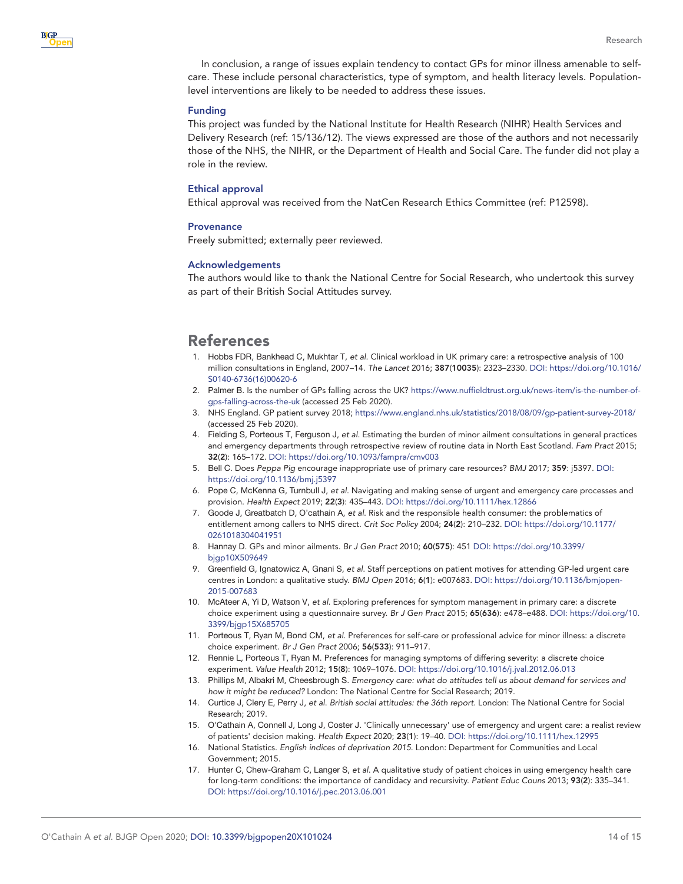In conclusion, a range of issues explain tendency to contact GPs for minor illness amenable to selfcare. These include personal characteristics, type of symptom, and health literacy levels. Populationlevel interventions are likely to be needed to address these issues.

#### Funding

This project was funded by the National Institute for Health Research (NIHR) Health Services and Delivery Research (ref: 15/136/12). The views expressed are those of the authors and not necessarily those of the NHS, the NIHR, or the Department of Health and Social Care. The funder did not play a role in the review.

#### Ethical approval

Ethical approval was received from the NatCen Research Ethics Committee (ref: P12598).

#### **Provenance**

Freely submitted; externally peer reviewed.

#### Acknowledgements

The authors would like to thank the National Centre for Social Research, who undertook this survey as part of their British Social Attitudes survey.

# References

- <span id="page-13-0"></span>1. Hobbs FDR, Bankhead C, Mukhtar T, *et al*. Clinical workload in UK primary care: a retrospective analysis of 100 million consultations in England, 2007–14. *The Lancet* 2016; 387(10035): 2323–2330. DOI: [https://doi.org/10.1016/](https://doi.org/10.1016/S0140-6736(16)00620-6) [S0140-6736\(16\)00620-6](https://doi.org/10.1016/S0140-6736(16)00620-6)
- <span id="page-13-1"></span>2. Palmer B. Is the number of GPs falling across the UK? [https://www.nuffieldtrust.org.uk/news-item/is-the-number-of](https://www.nuffieldtrust.org.uk/news-item/is-the-number-of-gps-falling-across-the-uk)[gps-falling-across-the-uk](https://www.nuffieldtrust.org.uk/news-item/is-the-number-of-gps-falling-across-the-uk) (accessed 25 Feb 2020).
- <span id="page-13-2"></span>3. NHS England. GP patient survey 2018; <https://www.england.nhs.uk/statistics/2018/08/09/gp-patient-survey-2018/> (accessed 25 Feb 2020).
- <span id="page-13-3"></span>4. Fielding S, Porteous T, Ferguson J, *et al*. Estimating the burden of minor ailment consultations in general practices and emergency departments through retrospective review of routine data in North East Scotland. *Fam Pract* 2015; 32(2): 165–172. DOI:<https://doi.org/10.1093/fampra/cmv003>
- <span id="page-13-4"></span>5. Bell C. Does *Peppa Pig* encourage inappropriate use of primary care resources? *BMJ* 2017; 359: j5397. DOI: <https://doi.org/10.1136/bmj.j5397>
- <span id="page-13-5"></span>6. Pope C, McKenna G, Turnbull J, *et al*. Navigating and making sense of urgent and emergency care processes and provision. *Health Expect* 2019; 22(3): 435–443. DOI:<https://doi.org/10.1111/hex.12866>
- <span id="page-13-6"></span>7. Goode J, Greatbatch D, O'cathain A, *et al*. Risk and the responsible health consumer: the problematics of entitlement among callers to NHS direct. *Crit Soc Policy* 2004; 24(2): 210–232. DOI: [https://doi.org/10.1177/](https://doi.org/10.1177/0261018304041951) [0261018304041951](https://doi.org/10.1177/0261018304041951)
- <span id="page-13-7"></span>8. Hannay D. GPs and minor ailments. *Br J Gen Pract* 2010; 60(575): 451 DOI: [https://doi.org/10.3399/](https://doi.org/10.3399/bjgp10X509649) [bjgp10X509649](https://doi.org/10.3399/bjgp10X509649)
- 9. Greenfield G, Ignatowicz A, Gnani S, *et al*. Staff perceptions on patient motives for attending GP-led urgent care centres in London: a qualitative study. *BMJ Open* 2016; 6(1): e007683. DOI: [https://doi.org/10.1136/bmjopen-](https://doi.org/10.1136/bmjopen-2015-007683)[2015-007683](https://doi.org/10.1136/bmjopen-2015-007683)
- <span id="page-13-8"></span>10. McAteer A, Yi D, Watson V, *et al*. Exploring preferences for symptom management in primary care: a discrete choice experiment using a questionnaire survey. *Br J Gen Pract* 2015; 65(636): e478–e488. DOI: [https://doi.org/10.](https://doi.org/10.3399/bjgp15X685705) [3399/bjgp15X685705](https://doi.org/10.3399/bjgp15X685705)
- 11. Porteous T, Ryan M, Bond CM, *et al*. Preferences for self-care or professional advice for minor illness: a discrete choice experiment. *Br J Gen Pract* 2006; 56(533): 911–917.
- 12. Rennie L, Porteous T, Ryan M. Preferences for managing symptoms of differing severity: a discrete choice experiment. *Value Health* 2012; 15(8): 1069–1076. DOI:<https://doi.org/10.1016/j.jval.2012.06.013>
- <span id="page-13-9"></span>13. Phillips M, Albakri M, Cheesbrough S. *Emergency care: what do attitudes tell us about demand for services and how it might be reduced?* London: The National Centre for Social Research; 2019.
- <span id="page-13-10"></span>14. Curtice J, Clery E, Perry J, *et al*. *British social attitudes: the 36th report*. London: The National Centre for Social Research; 2019.
- <span id="page-13-11"></span>15. O'Cathain A, Connell J, Long J, Coster J. 'Clinically unnecessary' use of emergency and urgent care: a realist review of patients' decision making. *Health Expect* 2020; 23(1): 19–40. DOI: <https://doi.org/10.1111/hex.12995>
- <span id="page-13-12"></span>16. National Statistics. *English indices of deprivation 2015*. London: Department for Communities and Local Government; 2015.
- <span id="page-13-13"></span>17. Hunter C, Chew-Graham C, Langer S, *et al*. A qualitative study of patient choices in using emergency health care for long-term conditions: the importance of candidacy and recursivity. *Patient Educ Couns* 2013; 93(2): 335–341. DOI:<https://doi.org/10.1016/j.pec.2013.06.001>